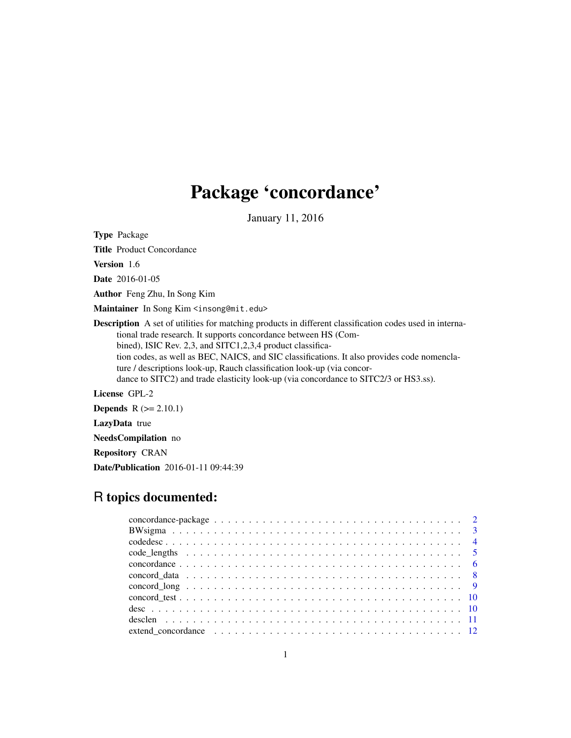# Package 'concordance'

January 11, 2016

Type Package

Title Product Concordance

Version 1.6

Date 2016-01-05

Author Feng Zhu, In Song Kim

Maintainer In Song Kim <insong@mit.edu>

Description A set of utilities for matching products in different classification codes used in international trade research. It supports concordance between HS (Combined), ISIC Rev. 2,3, and SITC1,2,3,4 product classification codes, as well as BEC, NAICS, and SIC classifications. It also provides code nomenclature / descriptions look-up, Rauch classification look-up (via concordance to SITC2) and trade elasticity look-up (via concordance to SITC2/3 or HS3.ss).

License GPL-2

**Depends**  $R$  ( $>= 2.10.1$ )

LazyData true

NeedsCompilation no

Repository CRAN

Date/Publication 2016-01-11 09:44:39

# R topics documented: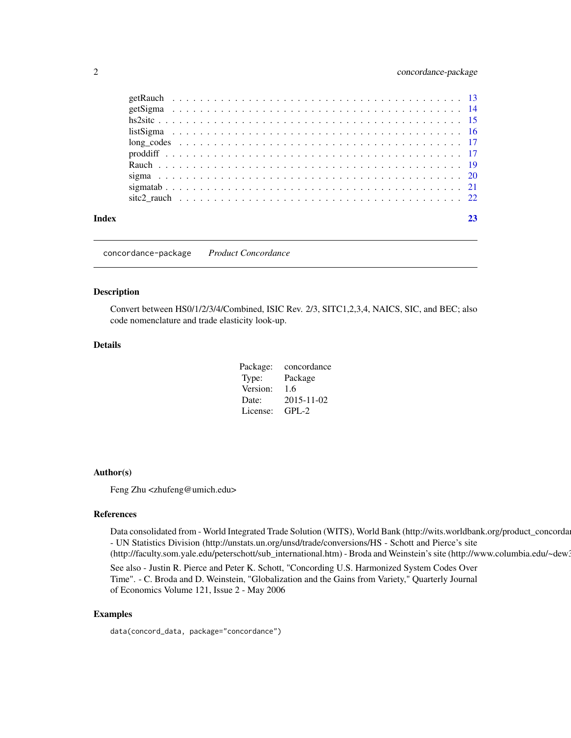<span id="page-1-0"></span>

| Index |  |
|-------|--|
|       |  |
|       |  |
|       |  |
|       |  |
|       |  |
|       |  |
|       |  |
|       |  |
|       |  |
|       |  |

concordance-package *Product Concordance*

# Description

Convert between HS0/1/2/3/4/Combined, ISIC Rev. 2/3, SITC1,2,3,4, NAICS, SIC, and BEC; also code nomenclature and trade elasticity look-up.

# Details

| concordance |
|-------------|
| Package     |
| 1.6         |
| 2015-11-02  |
| $GPL-2$     |
|             |

#### Author(s)

Feng Zhu <zhufeng@umich.edu>

#### References

Data consolidated from - World Integrated Trade Solution (WITS), World Bank (http://wits.worldbank.org/product\_concorda - UN Statistics Division (http://unstats.un.org/unsd/trade/conversions/HS - Schott and Pierce's site

(http://faculty.som.yale.edu/peterschott/sub\_international.htm) - Broda and Weinstein's site (http://www.columbia.edu/~dew3

See also - Justin R. Pierce and Peter K. Schott, "Concording U.S. Harmonized System Codes Over Time". - C. Broda and D. Weinstein, "Globalization and the Gains from Variety," Quarterly Journal of Economics Volume 121, Issue 2 - May 2006

# Examples

data(concord\_data, package="concordance")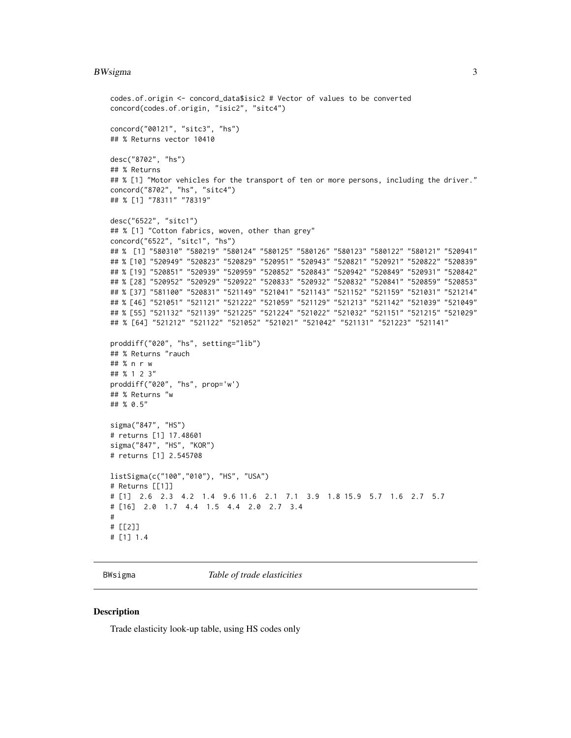#### <span id="page-2-0"></span>BWsigma 3

```
codes.of.origin <- concord_data$isic2 # Vector of values to be converted
concord(codes.of.origin, "isic2", "sitc4")
concord("00121", "sitc3", "hs")
## % Returns vector 10410
desc("8702", "hs")
## % Returns
## % [1] "Motor vehicles for the transport of ten or more persons, including the driver."
concord("8702", "hs", "sitc4")
## % [1] "78311" "78319"
desc("6522", "sitc1")
## % [1] "Cotton fabrics, woven, other than grey"
concord("6522", "sitc1", "hs")
## % [1] "580310" "580219" "580124" "580125" "580126" "580123" "580122" "580121" "520941"
## % [10] "520949" "520823" "520829" "520951" "520943" "520821" "520921" "520822" "520839"
## % [19] "520851" "520939" "520959" "520852" "520843" "520942" "520849" "520931" "520842"
## % [28] "520952" "520929" "520922" "520833" "520932" "520832" "520841" "520859" "520853"
## % [37] "581100" "520831" "521149" "521041" "521143" "521152" "521159" "521031" "521214"
## % [46] "521051" "521121" "521222" "521059" "521129" "521213" "521142" "521039" "521049"
## % [55] "521132" "521139" "521225" "521224" "521022" "521032" "521151" "521215" "521029"
## % [64] "521212" "521122" "521052" "521021" "521042" "521131" "521223" "521141"
proddiff("020", "hs", setting="lib")
## % Returns "rauch
## % n r w
## % 1 2 3"
proddiff("020", "hs", prop='w')
## % Returns "w
## % 0.5"
sigma("847", "HS")
# returns [1] 17.48601
sigma("847", "HS", "KOR")
# returns [1] 2.545708
listSigma(c("100","010"), "HS", "USA")
# Returns [[1]]
# [1] 2.6 2.3 4.2 1.4 9.6 11.6 2.1 7.1 3.9 1.8 15.9 5.7 1.6 2.7 5.7
# [16] 2.0 1.7 4.4 1.5 4.4 2.0 2.7 3.4
#
# [[2]]
# [1] 1.4
```
BWsigma *Table of trade elasticities*

#### Description

Trade elasticity look-up table, using HS codes only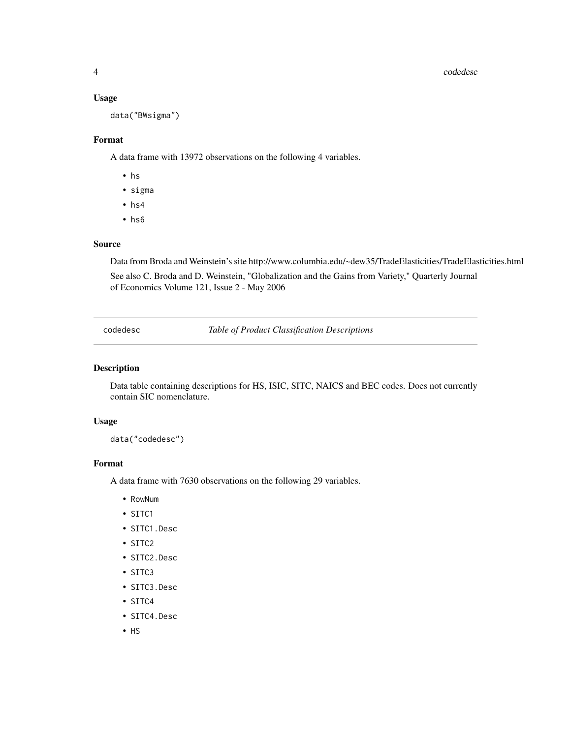#### <span id="page-3-0"></span>4 codedesc

#### Usage

data("BWsigma")

# Format

A data frame with 13972 observations on the following 4 variables.

- hs
- sigma
- hs4
- hs6

# Source

Data from Broda and Weinstein's site http://www.columbia.edu/~dew35/TradeElasticities/TradeElasticities.html See also C. Broda and D. Weinstein, "Globalization and the Gains from Variety," Quarterly Journal of Economics Volume 121, Issue 2 - May 2006

codedesc *Table of Product Classification Descriptions*

#### Description

Data table containing descriptions for HS, ISIC, SITC, NAICS and BEC codes. Does not currently contain SIC nomenclature.

# Usage

data("codedesc")

#### Format

A data frame with 7630 observations on the following 29 variables.

- RowNum
- SITC1
- SITC1.Desc
- SITC2
- SITC2.Desc
- SITC3
- SITC3.Desc
- SITC4
- SITC4.Desc
- HS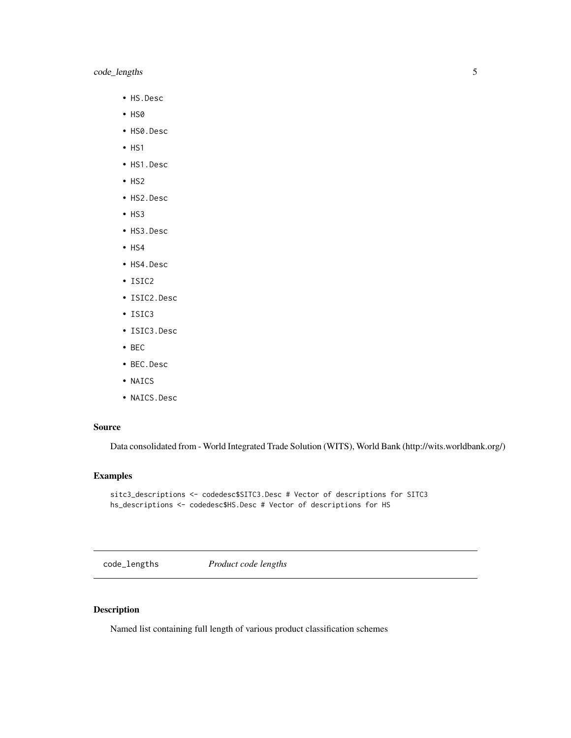# <span id="page-4-0"></span>code\_lengths 5

- HS.Desc
- HS0
- HS0.Desc
- HS1
- HS1.Desc
- $·$  HS2
- HS2.Desc
- HS3
- HS3.Desc
- $·$  HS4
- HS4.Desc
- ISIC2
- ISIC2.Desc
- ISIC3
- ISIC3.Desc
- BEC
- BEC.Desc
- NAICS
- NAICS.Desc

# Source

Data consolidated from - World Integrated Trade Solution (WITS), World Bank (http://wits.worldbank.org/)

# Examples

```
sitc3_descriptions <- codedesc$SITC3.Desc # Vector of descriptions for SITC3
hs_descriptions <- codedesc$HS.Desc # Vector of descriptions for HS
```
code\_lengths *Product code lengths*

# Description

Named list containing full length of various product classification schemes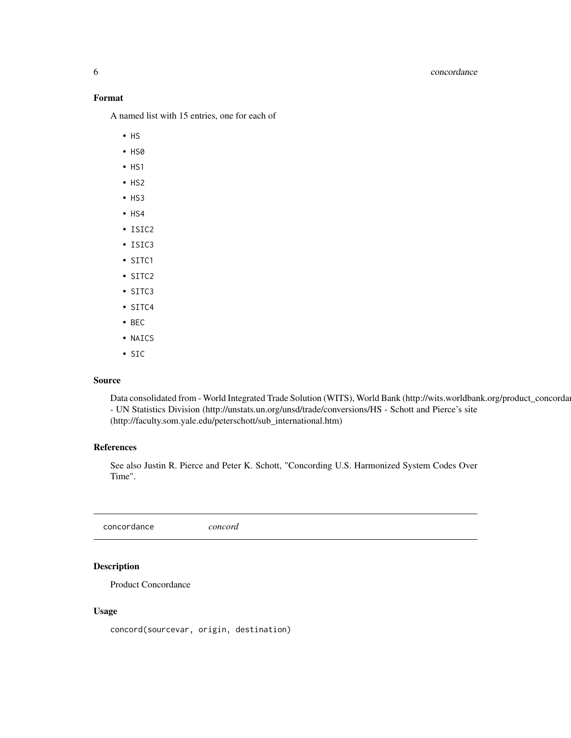# <span id="page-5-0"></span>6 concordance

# Format

A named list with 15 entries, one for each of

- HS
- HS0
- $·$  HS1
- HS2
- HS3
- $·$  HS4
- ISIC2
- ISIC3
- SITC1
- SITC2
- SITC3
- SITC4
- BEC
- NAICS
- SIC

### Source

Data consolidated from - World Integrated Trade Solution (WITS), World Bank (http://wits.worldbank.org/product\_concorda - UN Statistics Division (http://unstats.un.org/unsd/trade/conversions/HS - Schott and Pierce's site (http://faculty.som.yale.edu/peterschott/sub\_international.htm)

# References

See also Justin R. Pierce and Peter K. Schott, "Concording U.S. Harmonized System Codes Over Time".

concordance *concord*

# Description

Product Concordance

# Usage

concord(sourcevar, origin, destination)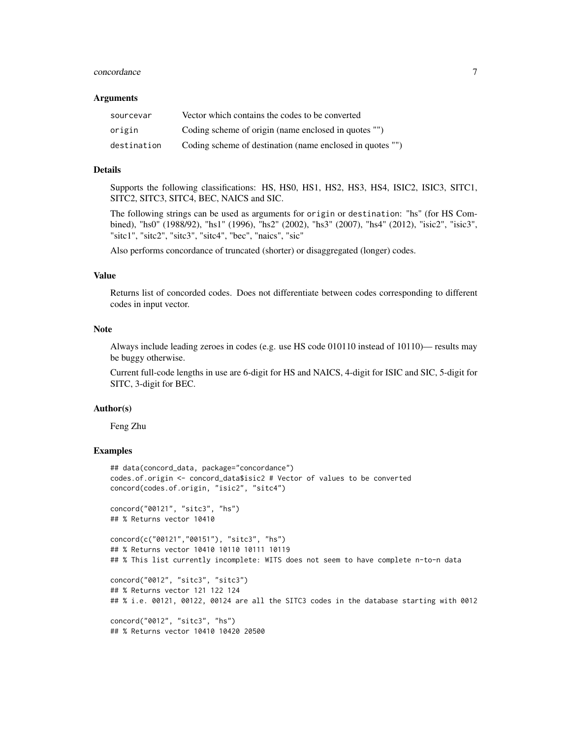#### concordance 7 and 2008 and 2008 and 2008 and 2008 and 2008 and 2008 and 2008 and 2008 and 2008 and 2008 and 2008 and 2008 and 2008 and 2008 and 2008 and 2008 and 2008 and 2008 and 2008 and 2008 and 2008 and 2008 and 2008 a

#### Arguments

| sourcevar   | Vector which contains the codes to be converted           |
|-------------|-----------------------------------------------------------|
| origin      | Coding scheme of origin (name enclosed in quotes "")      |
| destination | Coding scheme of destination (name enclosed in quotes "") |

# Details

Supports the following classifications: HS, HS0, HS1, HS2, HS3, HS4, ISIC2, ISIC3, SITC1, SITC2, SITC3, SITC4, BEC, NAICS and SIC.

The following strings can be used as arguments for origin or destination: "hs" (for HS Combined), "hs0" (1988/92), "hs1" (1996), "hs2" (2002), "hs3" (2007), "hs4" (2012), "isic2", "isic3", "sitc1", "sitc2", "sitc3", "sitc4", "bec", "naics", "sic"

Also performs concordance of truncated (shorter) or disaggregated (longer) codes.

#### Value

Returns list of concorded codes. Does not differentiate between codes corresponding to different codes in input vector.

### Note

Always include leading zeroes in codes (e.g. use HS code 010110 instead of 10110)— results may be buggy otherwise.

Current full-code lengths in use are 6-digit for HS and NAICS, 4-digit for ISIC and SIC, 5-digit for SITC, 3-digit for BEC.

#### Author(s)

Feng Zhu

# Examples

```
## data(concord_data, package="concordance")
codes.of.origin <- concord_data$isic2 # Vector of values to be converted
concord(codes.of.origin, "isic2", "sitc4")
concord("00121", "sitc3", "hs")
```

```
## % Returns vector 10410
```

```
concord(c("00121","00151"), "sitc3", "hs")
## % Returns vector 10410 10110 10111 10119
## % This list currently incomplete: WITS does not seem to have complete n-to-n data
```

```
concord("0012", "sitc3", "sitc3")
## % Returns vector 121 122 124
## % i.e. 00121, 00122, 00124 are all the SITC3 codes in the database starting with 0012
```
concord("0012", "sitc3", "hs") ## % Returns vector 10410 10420 20500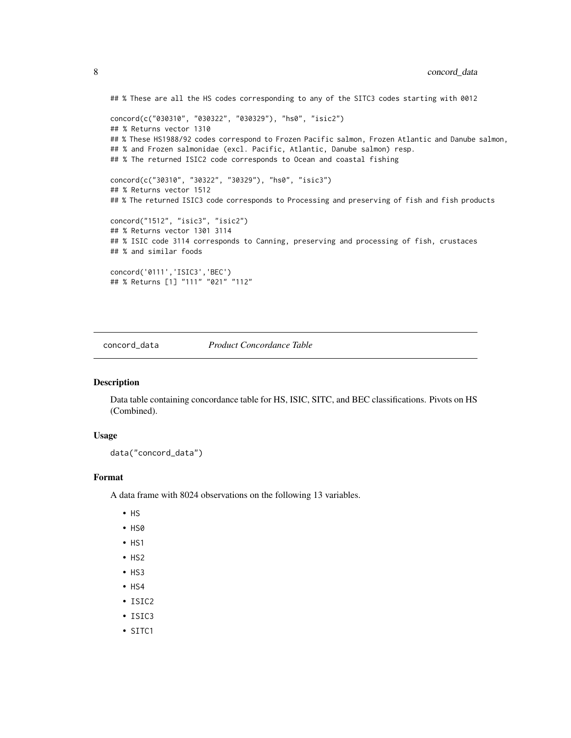```
## % These are all the HS codes corresponding to any of the SITC3 codes starting with 0012
concord(c("030310", "030322", "030329"), "hs0", "isic2")
## % Returns vector 1310
## % These HS1988/92 codes correspond to Frozen Pacific salmon, Frozen Atlantic and Danube salmon,
## % and Frozen salmonidae (excl. Pacific, Atlantic, Danube salmon) resp.
## % The returned ISIC2 code corresponds to Ocean and coastal fishing
concord(c("30310", "30322", "30329"), "hs0", "isic3")
## % Returns vector 1512
## % The returned ISIC3 code corresponds to Processing and preserving of fish and fish products
concord("1512", "isic3", "isic2")
## % Returns vector 1301 3114
## % ISIC code 3114 corresponds to Canning, preserving and processing of fish, crustaces
## % and similar foods
concord('0111','ISIC3','BEC')
## % Returns [1] "111" "021" "112"
```
concord\_data *Product Concordance Table*

#### Description

Data table containing concordance table for HS, ISIC, SITC, and BEC classifications. Pivots on HS (Combined).

#### Usage

```
data("concord_data")
```
# Format

A data frame with 8024 observations on the following 13 variables.

- HS
- HS0
- HS1
- HS2
- HS3
- $·$  HS4
- ISIC2
- ISIC3
- SITC1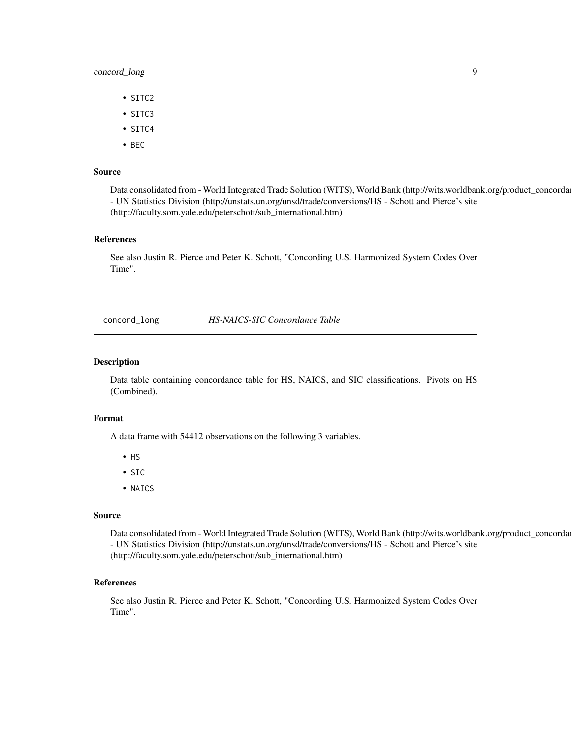# <span id="page-8-0"></span>concord\_long 9

- SITC2
- SITC3
- SITC4
- BEC

#### Source

Data consolidated from - World Integrated Trade Solution (WITS), World Bank (http://wits.worldbank.org/product\_concorda - UN Statistics Division (http://unstats.un.org/unsd/trade/conversions/HS - Schott and Pierce's site (http://faculty.som.yale.edu/peterschott/sub\_international.htm)

#### References

See also Justin R. Pierce and Peter K. Schott, "Concording U.S. Harmonized System Codes Over Time".

concord\_long *HS-NAICS-SIC Concordance Table*

#### Description

Data table containing concordance table for HS, NAICS, and SIC classifications. Pivots on HS (Combined).

#### Format

A data frame with 54412 observations on the following 3 variables.

- HS
- SIC
- NAICS

#### Source

Data consolidated from - World Integrated Trade Solution (WITS), World Bank (http://wits.worldbank.org/product\_concorda - UN Statistics Division (http://unstats.un.org/unsd/trade/conversions/HS - Schott and Pierce's site (http://faculty.som.yale.edu/peterschott/sub\_international.htm)

#### References

See also Justin R. Pierce and Peter K. Schott, "Concording U.S. Harmonized System Codes Over Time".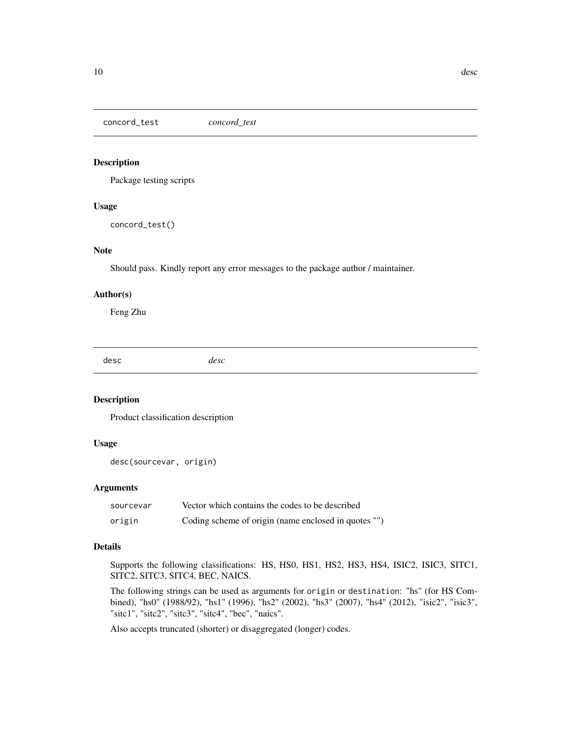<span id="page-9-0"></span>concord\_test *concord\_test*

#### Description

Package testing scripts

#### Usage

concord\_test()

# Note

Should pass. Kindly report any error messages to the package author / maintainer.

#### Author(s)

Feng Zhu

desc *desc*

# Description

Product classification description

# Usage

desc(sourcevar, origin)

# Arguments

| sourcevar | Vector which contains the codes to be described      |
|-----------|------------------------------------------------------|
| origin    | Coding scheme of origin (name enclosed in quotes "") |

#### Details

Supports the following classifications: HS, HS0, HS1, HS2, HS3, HS4, ISIC2, ISIC3, SITC1, SITC2, SITC3, SITC4, BEC, NAICS.

The following strings can be used as arguments for origin or destination: "hs" (for HS Combined), "hs0" (1988/92), "hs1" (1996), "hs2" (2002), "hs3" (2007), "hs4" (2012), "isic2", "isic3", "sitc1", "sitc2", "sitc3", "sitc4", "bec", "naics".

Also accepts truncated (shorter) or disaggregated (longer) codes.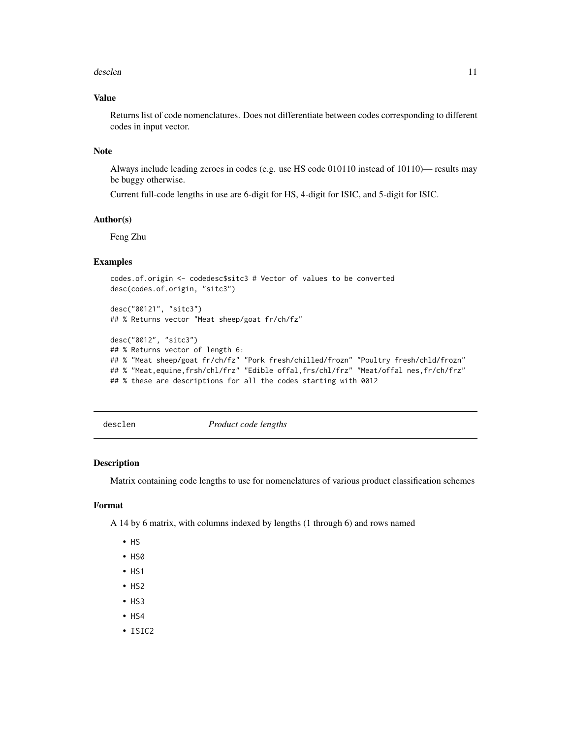#### <span id="page-10-0"></span>desclen and the set of the set of the set of the set of the set of the set of the set of the set of the set of the set of the set of the set of the set of the set of the set of the set of the set of the set of the set of t

# Value

Returns list of code nomenclatures. Does not differentiate between codes corresponding to different codes in input vector.

#### Note

Always include leading zeroes in codes (e.g. use HS code 010110 instead of 10110)— results may be buggy otherwise.

Current full-code lengths in use are 6-digit for HS, 4-digit for ISIC, and 5-digit for ISIC.

#### Author(s)

Feng Zhu

# Examples

```
codes.of.origin <- codedesc$sitc3 # Vector of values to be converted
desc(codes.of.origin, "sitc3")
```
desc("00121", "sitc3") ## % Returns vector "Meat sheep/goat fr/ch/fz"

```
desc("0012", "sitc3")
## % Returns vector of length 6:
## % "Meat sheep/goat fr/ch/fz" "Pork fresh/chilled/frozn" "Poultry fresh/chld/frozn"
## % "Meat,equine,frsh/chl/frz" "Edible offal,frs/chl/frz" "Meat/offal nes,fr/ch/frz"
## % these are descriptions for all the codes starting with 0012
```
desclen *Product code lengths*

#### Description

Matrix containing code lengths to use for nomenclatures of various product classification schemes

#### Format

A 14 by 6 matrix, with columns indexed by lengths (1 through 6) and rows named

- HS
- HS0
- $·$  HS1
- $·$  HS2
- HS3
- $·$  HS4
- ISIC2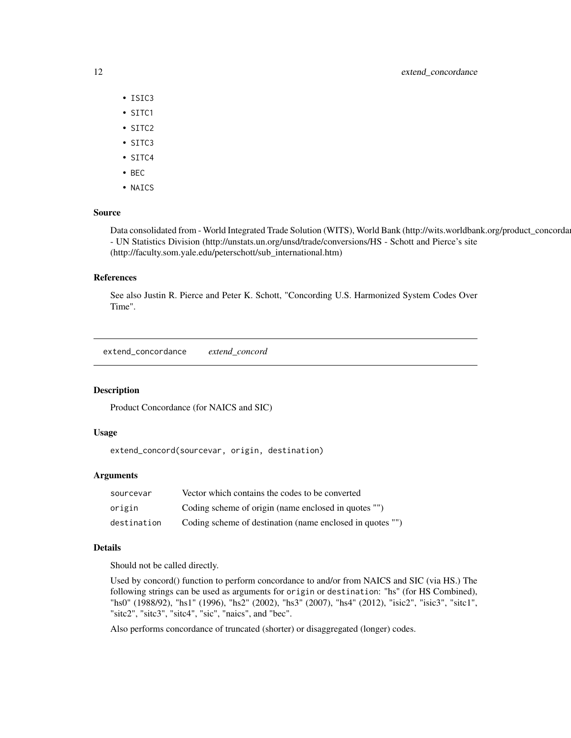# <span id="page-11-0"></span>12 extend\_concordance

- ISIC3
- SITC1
- SITC2
- SITC3
- SITC4
- BEC
- NAICS

# Source

Data consolidated from - World Integrated Trade Solution (WITS), World Bank (http://wits.worldbank.org/product\_concorda - UN Statistics Division (http://unstats.un.org/unsd/trade/conversions/HS - Schott and Pierce's site (http://faculty.som.yale.edu/peterschott/sub\_international.htm)

#### References

See also Justin R. Pierce and Peter K. Schott, "Concording U.S. Harmonized System Codes Over Time".

extend\_concordance *extend\_concord*

#### Description

Product Concordance (for NAICS and SIC)

#### Usage

extend\_concord(sourcevar, origin, destination)

# Arguments

| sourcevar   | Vector which contains the codes to be converted           |
|-------------|-----------------------------------------------------------|
| origin      | Coding scheme of origin (name enclosed in quotes "")      |
| destination | Coding scheme of destination (name enclosed in quotes "") |

# Details

Should not be called directly.

Used by concord() function to perform concordance to and/or from NAICS and SIC (via HS.) The following strings can be used as arguments for origin or destination: "hs" (for HS Combined), "hs0" (1988/92), "hs1" (1996), "hs2" (2002), "hs3" (2007), "hs4" (2012), "isic2", "isic3", "sitc1", "sitc2", "sitc3", "sitc4", "sic", "naics", and "bec".

Also performs concordance of truncated (shorter) or disaggregated (longer) codes.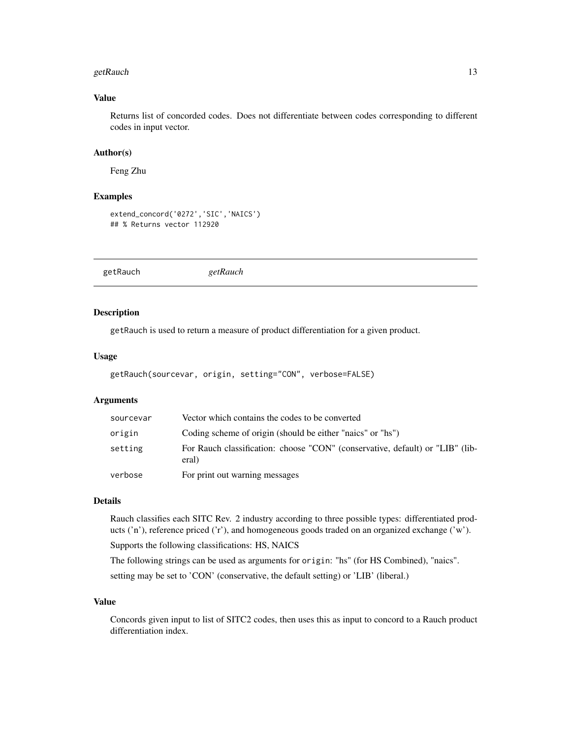#### <span id="page-12-0"></span>getRauch  $13$

# Value

Returns list of concorded codes. Does not differentiate between codes corresponding to different codes in input vector.

# Author(s)

Feng Zhu

#### Examples

```
extend_concord('0272','SIC','NAICS')
## % Returns vector 112920
```
getRauch *getRauch*

# Description

getRauch is used to return a measure of product differentiation for a given product.

#### Usage

```
getRauch(sourcevar, origin, setting="CON", verbose=FALSE)
```
# Arguments

| sourcevar | Vector which contains the codes to be converted                                        |
|-----------|----------------------------------------------------------------------------------------|
| origin    | Coding scheme of origin (should be either "naics" or "hs")                             |
| setting   | For Rauch classification: choose "CON" (conservative, default) or "LIB" (lib-<br>eral) |
| verbose   | For print out warning messages                                                         |

# Details

Rauch classifies each SITC Rev. 2 industry according to three possible types: differentiated products ('n'), reference priced ('r'), and homogeneous goods traded on an organized exchange ('w').

Supports the following classifications: HS, NAICS

The following strings can be used as arguments for origin: "hs" (for HS Combined), "naics". setting may be set to 'CON' (conservative, the default setting) or 'LIB' (liberal.)

#### Value

Concords given input to list of SITC2 codes, then uses this as input to concord to a Rauch product differentiation index.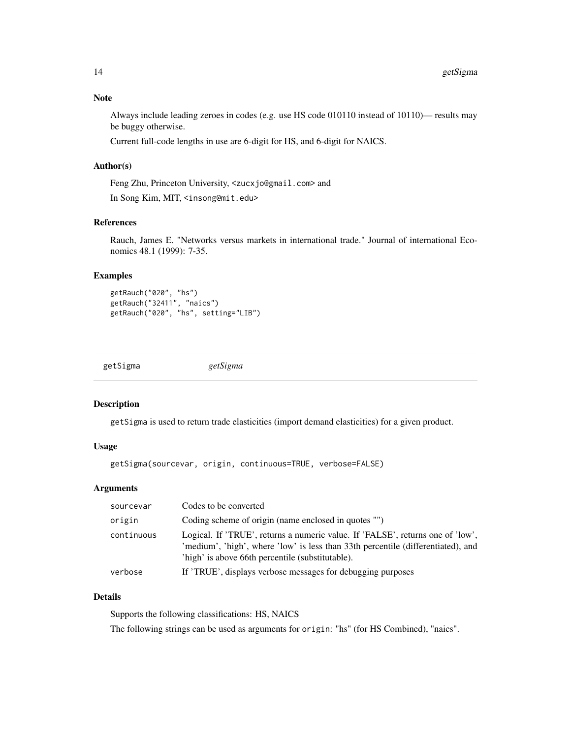# <span id="page-13-0"></span>Note

Always include leading zeroes in codes (e.g. use HS code 010110 instead of 10110)— results may be buggy otherwise.

Current full-code lengths in use are 6-digit for HS, and 6-digit for NAICS.

# Author(s)

Feng Zhu, Princeton University, <zucxjo@gmail.com> and In Song Kim, MIT, <insong@mit.edu>

# References

Rauch, James E. "Networks versus markets in international trade." Journal of international Economics 48.1 (1999): 7-35.

# Examples

getRauch("020", "hs") getRauch("32411", "naics") getRauch("020", "hs", setting="LIB")

| getSigma | getSigma |
|----------|----------|
|          |          |

# Description

getSigma is used to return trade elasticities (import demand elasticities) for a given product.

# Usage

```
getSigma(sourcevar, origin, continuous=TRUE, verbose=FALSE)
```
# Arguments

| sourcevar  | Codes to be converted                                                                                                                                                                                                  |
|------------|------------------------------------------------------------------------------------------------------------------------------------------------------------------------------------------------------------------------|
| origin     | Coding scheme of origin (name enclosed in quotes "")                                                                                                                                                                   |
| continuous | Logical. If 'TRUE', returns a numeric value. If 'FALSE', returns one of 'low',<br>'medium', 'high', where 'low' is less than 33th percentile (differentiated), and<br>'high' is above 66th percentile (substitutable). |
| verbose    | If 'TRUE', displays verbose messages for debugging purposes                                                                                                                                                            |

# Details

Supports the following classifications: HS, NAICS

The following strings can be used as arguments for origin: "hs" (for HS Combined), "naics".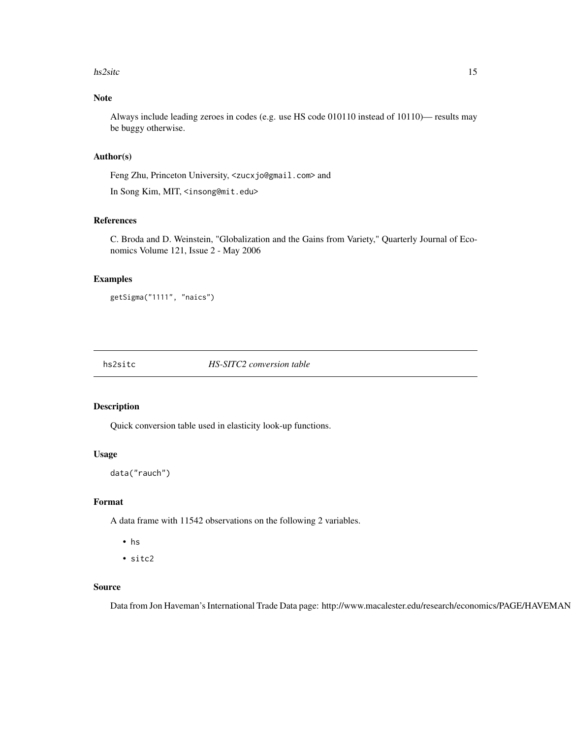#### <span id="page-14-0"></span>hs2sitc 15

# Note

Always include leading zeroes in codes (e.g. use HS code 010110 instead of 10110)— results may be buggy otherwise.

#### Author(s)

Feng Zhu, Princeton University, <zucxjo@gmail.com> and

In Song Kim, MIT, <insong@mit.edu>

# References

C. Broda and D. Weinstein, "Globalization and the Gains from Variety," Quarterly Journal of Economics Volume 121, Issue 2 - May 2006

#### Examples

```
getSigma("1111", "naics")
```
hs2sitc *HS-SITC2 conversion table*

#### Description

Quick conversion table used in elasticity look-up functions.

#### Usage

data("rauch")

# Format

A data frame with 11542 observations on the following 2 variables.

- hs
- sitc2

#### Source

Data from Jon Haveman's International Trade Data page: http://www.macalester.edu/research/economics/PAGE/HAVEMAN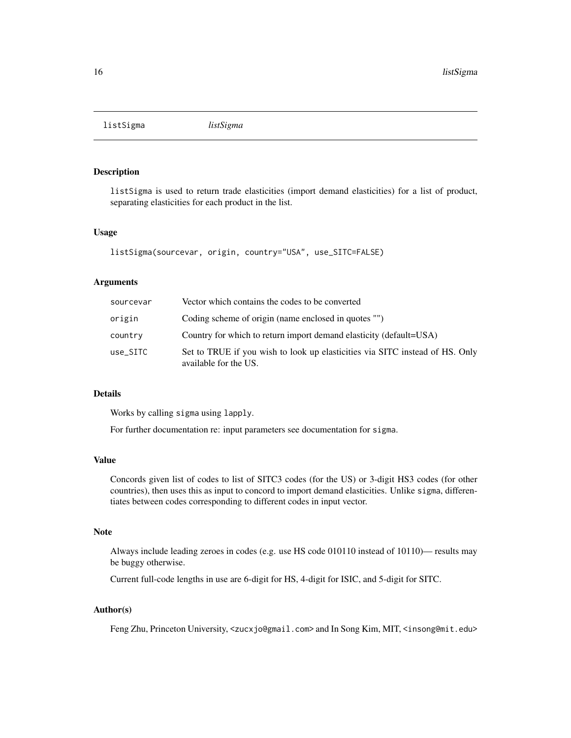<span id="page-15-0"></span>listSigma *listSigma*

#### Description

listSigma is used to return trade elasticities (import demand elasticities) for a list of product, separating elasticities for each product in the list.

#### Usage

```
listSigma(sourcevar, origin, country="USA", use_SITC=FALSE)
```
# Arguments

| sourcevar | Vector which contains the codes to be converted                                                       |
|-----------|-------------------------------------------------------------------------------------------------------|
| origin    | Coding scheme of origin (name enclosed in quotes "")                                                  |
| country   | Country for which to return import demand elasticity (default=USA)                                    |
| use SITC  | Set to TRUE if you wish to look up elasticities via SITC instead of HS. Only<br>available for the US. |

# Details

Works by calling sigma using lapply.

For further documentation re: input parameters see documentation for sigma.

#### Value

Concords given list of codes to list of SITC3 codes (for the US) or 3-digit HS3 codes (for other countries), then uses this as input to concord to import demand elasticities. Unlike sigma, differentiates between codes corresponding to different codes in input vector.

#### **Note**

Always include leading zeroes in codes (e.g. use HS code 010110 instead of 10110)— results may be buggy otherwise.

Current full-code lengths in use are 6-digit for HS, 4-digit for ISIC, and 5-digit for SITC.

#### Author(s)

Feng Zhu, Princeton University, <zucxjo@gmail.com> and In Song Kim, MIT, <insong@mit.edu>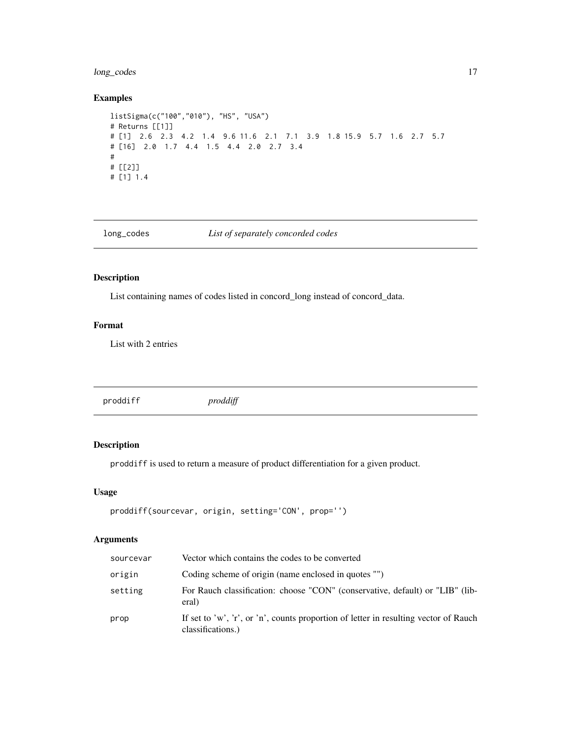# <span id="page-16-0"></span>long\_codes 17

# Examples

```
listSigma(c("100","010"), "HS", "USA")
# Returns [[1]]
# [1] 2.6 2.3 4.2 1.4 9.6 11.6 2.1 7.1 3.9 1.8 15.9 5.7 1.6 2.7 5.7
# [16] 2.0 1.7 4.4 1.5 4.4 2.0 2.7 3.4
#
# [[2]]
# [1] 1.4
```
long\_codes *List of separately concorded codes*

# Description

List containing names of codes listed in concord\_long instead of concord\_data.

# Format

List with 2 entries

proddiff *proddiff*

# Description

proddiff is used to return a measure of product differentiation for a given product.

# Usage

```
proddiff(sourcevar, origin, setting='CON', prop='')
```
# Arguments

| sourcevar | Vector which contains the codes to be converted                                                           |
|-----------|-----------------------------------------------------------------------------------------------------------|
| origin    | Coding scheme of origin (name enclosed in quotes "")                                                      |
| setting   | For Rauch classification: choose "CON" (conservative, default) or "LIB" (lib-<br>eral)                    |
| prop      | If set to 'w', 'r', or 'n', counts proportion of letter in resulting vector of Rauch<br>classifications.) |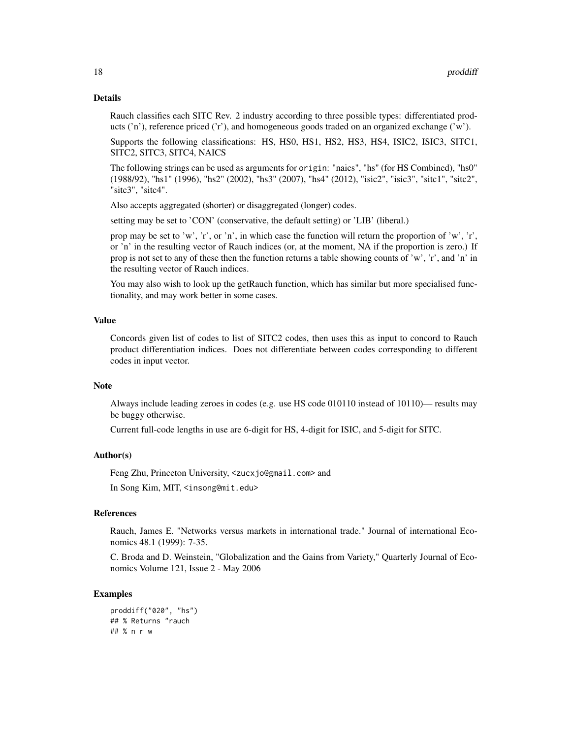#### Details

Rauch classifies each SITC Rev. 2 industry according to three possible types: differentiated products ('n'), reference priced ('r'), and homogeneous goods traded on an organized exchange ('w').

Supports the following classifications: HS, HS0, HS1, HS2, HS3, HS4, ISIC2, ISIC3, SITC1, SITC2, SITC3, SITC4, NAICS

The following strings can be used as arguments for origin: "naics", "hs" (for HS Combined), "hs0" (1988/92), "hs1" (1996), "hs2" (2002), "hs3" (2007), "hs4" (2012), "isic2", "isic3", "sitc1", "sitc2", "sitc3", "sitc4".

Also accepts aggregated (shorter) or disaggregated (longer) codes.

setting may be set to 'CON' (conservative, the default setting) or 'LIB' (liberal.)

prop may be set to 'w', 'r', or 'n', in which case the function will return the proportion of 'w', 'r', or 'n' in the resulting vector of Rauch indices (or, at the moment, NA if the proportion is zero.) If prop is not set to any of these then the function returns a table showing counts of 'w', 'r', and 'n' in the resulting vector of Rauch indices.

You may also wish to look up the getRauch function, which has similar but more specialised functionality, and may work better in some cases.

#### Value

Concords given list of codes to list of SITC2 codes, then uses this as input to concord to Rauch product differentiation indices. Does not differentiate between codes corresponding to different codes in input vector.

#### Note

Always include leading zeroes in codes (e.g. use HS code 010110 instead of 10110)— results may be buggy otherwise.

Current full-code lengths in use are 6-digit for HS, 4-digit for ISIC, and 5-digit for SITC.

#### Author(s)

Feng Zhu, Princeton University, <zucxjo@gmail.com> and

In Song Kim, MIT, <insong@mit.edu>

# References

Rauch, James E. "Networks versus markets in international trade." Journal of international Economics 48.1 (1999): 7-35.

C. Broda and D. Weinstein, "Globalization and the Gains from Variety," Quarterly Journal of Economics Volume 121, Issue 2 - May 2006

#### Examples

```
proddiff("020", "hs")
## % Returns "rauch
## % n r w
```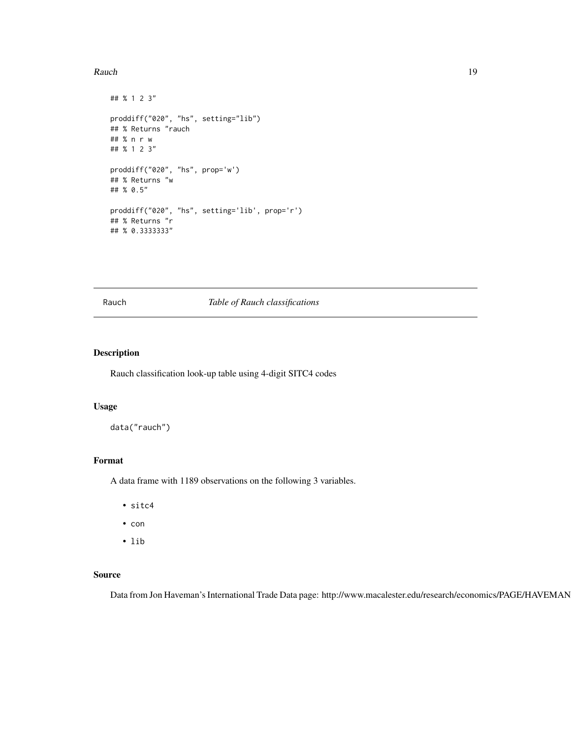#### <span id="page-18-0"></span>Rauch **19**

```
## % 1 2 3"
proddiff("020", "hs", setting="lib")
## % Returns "rauch
## % n r w
## % 1 2 3"
proddiff("020", "hs", prop='w')
## % Returns "w
## % 0.5"
proddiff("020", "hs", setting='lib', prop='r')
## % Returns "r
## % 0.3333333"
```
#### Rauch *Table of Rauch classifications*

# Description

Rauch classification look-up table using 4-digit SITC4 codes

# Usage

data("rauch")

#### Format

A data frame with 1189 observations on the following 3 variables.

- sitc4
- con
- lib

# Source

Data from Jon Haveman's International Trade Data page: http://www.macalester.edu/research/economics/PAGE/HAVEMAN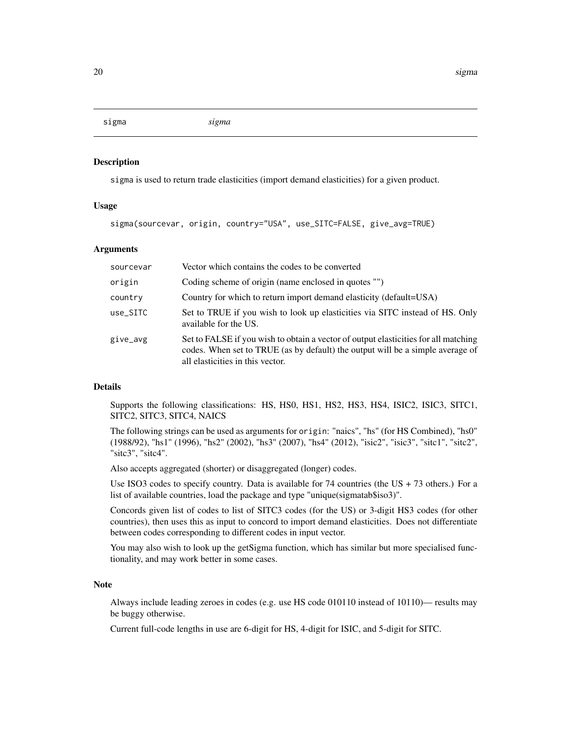<span id="page-19-0"></span>sigma *sigma*

#### Description

sigma is used to return trade elasticities (import demand elasticities) for a given product.

#### Usage

sigma(sourcevar, origin, country="USA", use\_SITC=FALSE, give\_avg=TRUE)

# Arguments

| sourcevar | Vector which contains the codes to be converted                                                                                                                                                           |
|-----------|-----------------------------------------------------------------------------------------------------------------------------------------------------------------------------------------------------------|
| origin    | Coding scheme of origin (name enclosed in quotes "")                                                                                                                                                      |
| country   | Country for which to return import demand elasticity (default=USA)                                                                                                                                        |
| use_SITC  | Set to TRUE if you wish to look up elasticities via SITC instead of HS. Only<br>available for the US.                                                                                                     |
| give_avg  | Set to FALSE if you wish to obtain a vector of output elasticities for all matching<br>codes. When set to TRUE (as by default) the output will be a simple average of<br>all elasticities in this vector. |

#### Details

Supports the following classifications: HS, HS0, HS1, HS2, HS3, HS4, ISIC2, ISIC3, SITC1, SITC2, SITC3, SITC4, NAICS

The following strings can be used as arguments for origin: "naics", "hs" (for HS Combined), "hs0" (1988/92), "hs1" (1996), "hs2" (2002), "hs3" (2007), "hs4" (2012), "isic2", "isic3", "sitc1", "sitc2", "sitc3", "sitc4".

Also accepts aggregated (shorter) or disaggregated (longer) codes.

Use ISO3 codes to specify country. Data is available for  $74$  countries (the US +  $73$  others.) For a list of available countries, load the package and type "unique(sigmatab\$iso3)".

Concords given list of codes to list of SITC3 codes (for the US) or 3-digit HS3 codes (for other countries), then uses this as input to concord to import demand elasticities. Does not differentiate between codes corresponding to different codes in input vector.

You may also wish to look up the getSigma function, which has similar but more specialised functionality, and may work better in some cases.

#### Note

Always include leading zeroes in codes (e.g. use HS code 010110 instead of 10110)— results may be buggy otherwise.

Current full-code lengths in use are 6-digit for HS, 4-digit for ISIC, and 5-digit for SITC.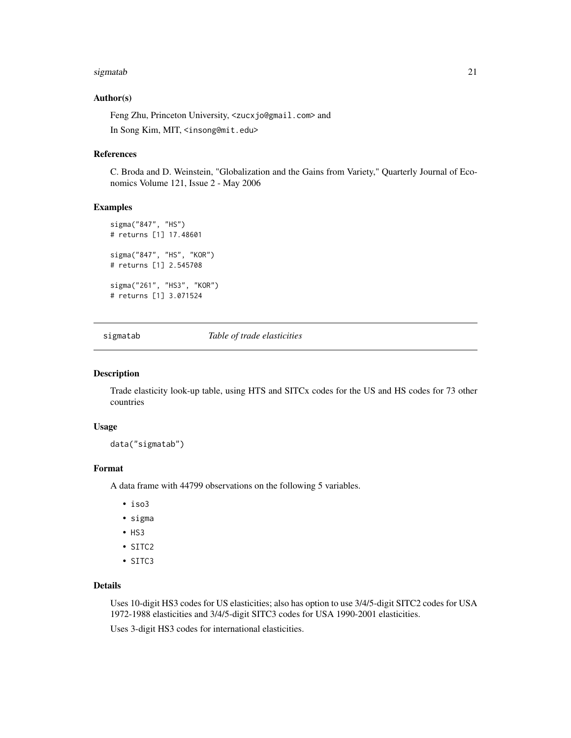#### <span id="page-20-0"></span>sigmatab 21

#### Author(s)

Feng Zhu, Princeton University, <zucxjo@gmail.com> and In Song Kim, MIT, <insong@mit.edu>

# References

C. Broda and D. Weinstein, "Globalization and the Gains from Variety," Quarterly Journal of Economics Volume 121, Issue 2 - May 2006

#### Examples

```
sigma("847", "HS")
# returns [1] 17.48601
sigma("847", "HS", "KOR")
# returns [1] 2.545708
sigma("261", "HS3", "KOR")
# returns [1] 3.071524
```
sigmatab *Table of trade elasticities*

#### Description

Trade elasticity look-up table, using HTS and SITCx codes for the US and HS codes for 73 other countries

#### Usage

data("sigmatab")

#### Format

A data frame with 44799 observations on the following 5 variables.

- iso3
- sigma
- HS3
- SITC2
- SITC3

#### Details

Uses 10-digit HS3 codes for US elasticities; also has option to use 3/4/5-digit SITC2 codes for USA 1972-1988 elasticities and 3/4/5-digit SITC3 codes for USA 1990-2001 elasticities.

Uses 3-digit HS3 codes for international elasticities.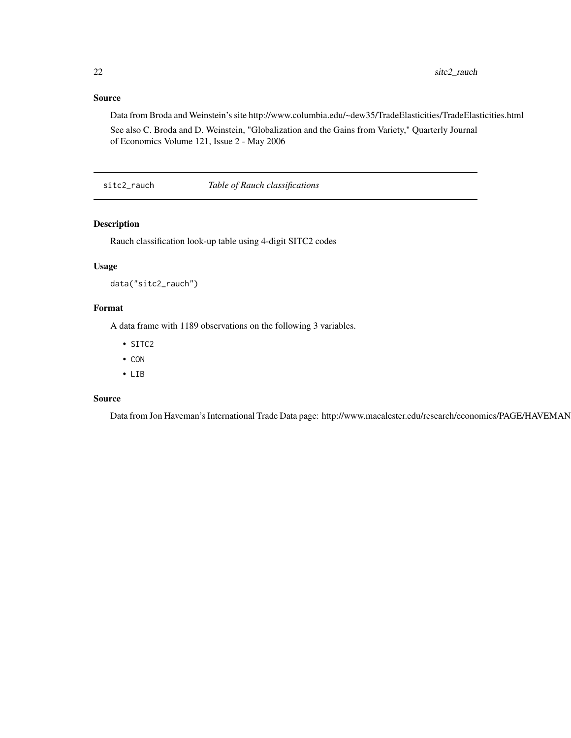# <span id="page-21-0"></span>Source

Data from Broda and Weinstein's site http://www.columbia.edu/~dew35/TradeElasticities/TradeElasticities.html

See also C. Broda and D. Weinstein, "Globalization and the Gains from Variety," Quarterly Journal of Economics Volume 121, Issue 2 - May 2006

sitc2\_rauch *Table of Rauch classifications*

### Description

Rauch classification look-up table using 4-digit SITC2 codes

# Usage

data("sitc2\_rauch")

# Format

A data frame with 1189 observations on the following 3 variables.

- SITC2
- CON
- LIB

# Source

Data from Jon Haveman's International Trade Data page: http://www.macalester.edu/research/economics/PAGE/HAVEMAN